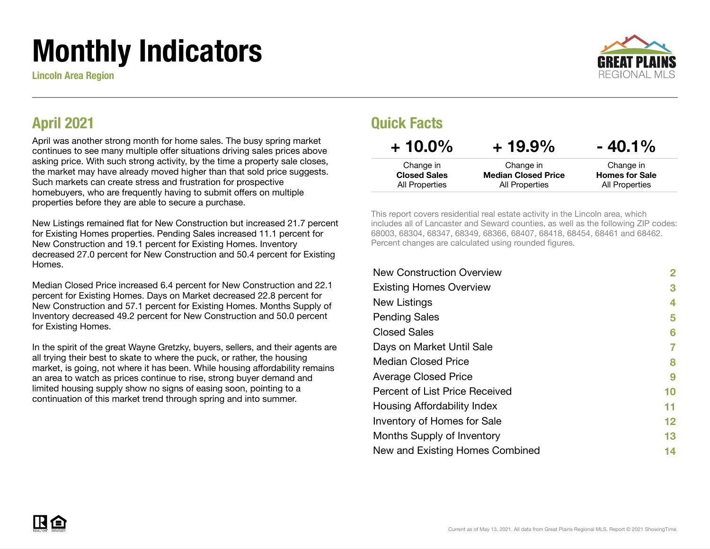# Monthly Indicators

Lincoln Area Region



### April 2021

April was another strong month for home sales. The busy spring market continues to see many multiple offer situations driving sales prices above asking price. With such strong activity, by the time a property sale closes, the market may have already moved higher than that sold price suggests. Such markets can create stress and frustration for prospective homebuyers, who are frequently having to submit offers on multiple properties before they are able to secure a purchase.

New Listings remained flat for New Construction but increased 21.7 percent for Existing Homes properties. Pending Sales increased 11.1 percent for New Construction and 19.1 percent for Existing Homes. Inventory decreased 27.0 percent for New Construction and 50.4 percent for Existing **Homes** 

Median Closed Price increased 6.4 percent for New Construction and 22.1 percent for Existing Homes. Days on Market decreased 22.8 percent for New Construction and 57.1 percent for Existing Homes. Months Supply of Inventory decreased 49.2 percent for New Construction and 50.0 percent for Existing Homes.

In the spirit of the great Wayne Gretzky, buyers, sellers, and their agents are all trying their best to skate to where the puck, or rather, the housing market, is going, not where it has been. While housing affordability remains an area to watch as prices continue to rise, strong buyer demand and limited housing supply show no signs of easing soon, pointing to a continuation of this market trend through spring and into summer.

### Quick Facts

| $+10.0\%$           | $+19.9\%$                  | $-40.1%$              |
|---------------------|----------------------------|-----------------------|
| Change in           | Change in                  | Change in             |
| <b>Closed Sales</b> | <b>Median Closed Price</b> | <b>Homes for Sale</b> |
| All Properties      | All Properties             | All Properties        |

This report covers residential real estate activity in the Lincoln area, which includes all of Lancaster and Seward counties, as well as the following ZIP codes: 68003, 68304, 68347, 68349, 68366, 68407, 68418, 68454, 68461 and 68462. Percent changes are calculated using rounded figures.

| <b>New Construction Overview</b> | 2  |
|----------------------------------|----|
| <b>Existing Homes Overview</b>   | 3  |
| New Listings                     | 4  |
| <b>Pending Sales</b>             | 5  |
| <b>Closed Sales</b>              | 6  |
| Days on Market Until Sale        | 7  |
| <b>Median Closed Price</b>       | 8  |
| <b>Average Closed Price</b>      | 9  |
| Percent of List Price Received   | 10 |
| Housing Affordability Index      | 11 |
| Inventory of Homes for Sale      | 12 |
| Months Supply of Inventory       | 13 |
| New and Existing Homes Combined  | 14 |
|                                  |    |

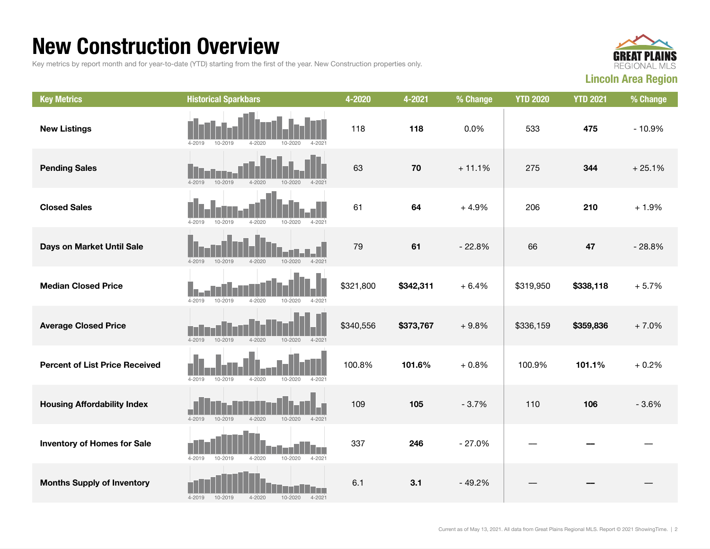### New Construction Overview

Key metrics by report month and for year-to-date (YTD) starting from the first of the year. New Construction properties only.



| <b>Key Metrics</b>                    | <b>Historical Sparkbars</b>                                          | 4-2020    | 4-2021    | % Change | <b>YTD 2020</b> | <b>YTD 2021</b> | % Change |
|---------------------------------------|----------------------------------------------------------------------|-----------|-----------|----------|-----------------|-----------------|----------|
| <b>New Listings</b>                   | $4 - 2019$<br>10-2019<br>$4 - 2020$<br>10-2020<br>$4 - 202$          | 118       | 118       | 0.0%     | 533             | 475             | $-10.9%$ |
| <b>Pending Sales</b>                  | $4 - 2019$<br>10-2019<br>$4 - 2020$<br>$10 - 2020$<br>$4 - 2021$     | 63        | 70        | $+11.1%$ | 275             | 344             | $+25.1%$ |
| <b>Closed Sales</b>                   | 10-2019<br>$4 - 2020$<br>10-2020<br>4-2021<br>4-2019                 | 61        | 64        | $+4.9%$  | 206             | 210             | $+1.9%$  |
| Days on Market Until Sale             | 4-2019<br>$4 - 2020$<br>10-2020<br>$4 - 2021$<br>10-2019             | 79        | 61        | $-22.8%$ | 66              | 47              | $-28.8%$ |
| <b>Median Closed Price</b>            | $4 - 2019$<br>$4 - 2020$<br>10-2020<br>$4 - 202$<br>10-2019          | \$321,800 | \$342,311 | $+6.4%$  | \$319,950       | \$338,118       | $+5.7%$  |
| <b>Average Closed Price</b>           | $4 - 2019$<br>$10 - 2019$<br>$4 - 2020$<br>$10 - 2020$<br>$4 - 2021$ | \$340,556 | \$373,767 | $+9.8%$  | \$336,159       | \$359,836       | $+7.0%$  |
| <b>Percent of List Price Received</b> | $4 - 2019$<br>$4 - 2020$<br>10-2019<br>10-2020<br>$4 - 2021$         | 100.8%    | 101.6%    | $+0.8%$  | 100.9%          | 101.1%          | $+0.2%$  |
| <b>Housing Affordability Index</b>    | $4 - 2019$<br>10-2019<br>$4 - 2020$<br>10-2020<br>$4 - 2021$         | 109       | 105       | $-3.7%$  | 110             | 106             | $-3.6%$  |
| <b>Inventory of Homes for Sale</b>    | $4 - 2019$<br>10-2019<br>$4 - 2020$<br>$10 - 2020$<br>$4 - 2021$     | 337       | 246       | $-27.0%$ |                 |                 |          |
| <b>Months Supply of Inventory</b>     | 10-2019<br>$4 - 2020$<br>10-2020<br>$4 - 2021$<br>$4 - 2019$         | 6.1       | 3.1       | $-49.2%$ |                 |                 |          |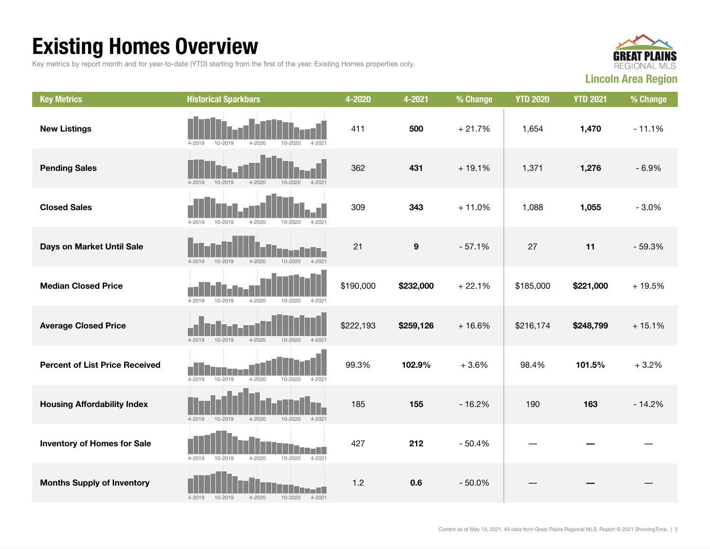## Existing Homes Overview

Key metrics by report month and for year-to-date (YTD) starting from the first of the year. Existing Homes properties only.



| <b>Key Metrics</b>                    | <b>Historical Sparkbars</b>                                          | 4-2020    | 4-2021           | % Change | <b>YTD 2020</b> | <b>YTD 2021</b> | % Change |
|---------------------------------------|----------------------------------------------------------------------|-----------|------------------|----------|-----------------|-----------------|----------|
| <b>New Listings</b>                   | $4 - 2020$<br>$4 - 2021$<br>4-2019<br>10-2019<br>10-2020             | 411       | 500              | $+21.7%$ | 1,654           | 1,470           | $-11.1%$ |
| <b>Pending Sales</b>                  | $4 - 2020$<br>$4 - 2019$<br>10-2019<br>$4 - 2021$<br>$10 - 2020$     | 362       | 431              | $+19.1%$ | 1,371           | 1,276           | $-6.9%$  |
| <b>Closed Sales</b>                   | $4 - 2019$<br>10-2019<br>$4 - 2020$<br>10-2020<br>$4 - 2021$         | 309       | 343              | $+11.0%$ | 1,088           | 1,055           | $-3.0%$  |
| Days on Market Until Sale             | $4 - 2021$<br>$4 - 2019$<br>$10 - 2019$<br>$4 - 2020$<br>$10 - 2020$ | 21        | $\boldsymbol{9}$ | $-57.1%$ | 27              | 11              | $-59.3%$ |
| <b>Median Closed Price</b>            | $4 - 2020$<br>$4 - 2019$<br>10-2019<br>$10 - 2020$<br>$4 - 2021$     | \$190,000 | \$232,000        | $+22.1%$ | \$185,000       | \$221,000       | $+19.5%$ |
| <b>Average Closed Price</b>           | $4 - 2019$<br>10-2019<br>$4 - 2020$<br>$10 - 2020$<br>$4 - 2021$     | \$222,193 | \$259,126        | $+16.6%$ | \$216,174       | \$248,799       | $+15.1%$ |
| <b>Percent of List Price Received</b> | $4 - 2020$<br>$4 - 2019$<br>10-2019<br>$10 - 2020$<br>$4 - 2021$     | 99.3%     | 102.9%           | $+3.6%$  | 98.4%           | 101.5%          | $+3.2%$  |
| <b>Housing Affordability Index</b>    | $4 - 2020$<br>$10 - 2020$<br>$4 - 2019$<br>10-2019<br>$4 - 2021$     | 185       | 155              | $-16.2%$ | 190             | 163             | $-14.2%$ |
| <b>Inventory of Homes for Sale</b>    | H<br>4-2019<br>10-2019<br>$4 - 2020$<br>$10 - 2020$<br>$4 - 2021$    | 427       | 212              | $-50.4%$ |                 |                 |          |
| <b>Months Supply of Inventory</b>     | $4 - 2020$<br>$4 - 2019$<br>10-2019<br>$10 - 2020$<br>$4 - 2021$     | 1.2       | 0.6              | $-50.0%$ |                 |                 |          |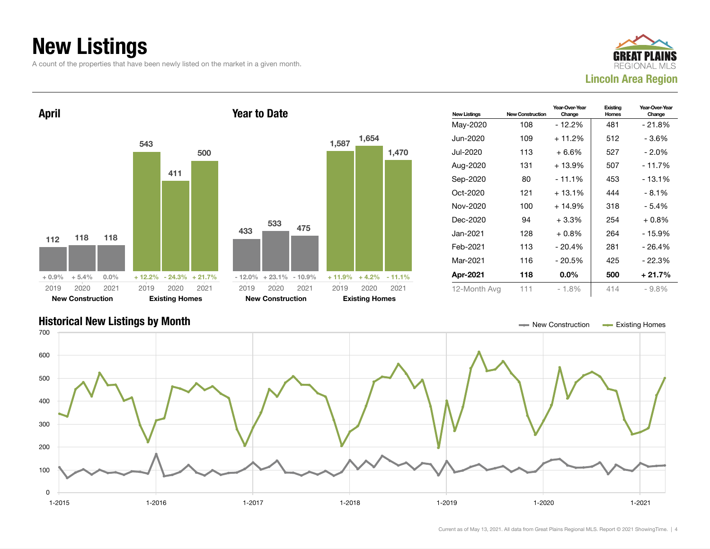## New Listings

A count of the properties that have been newly listed on the market in a given month.





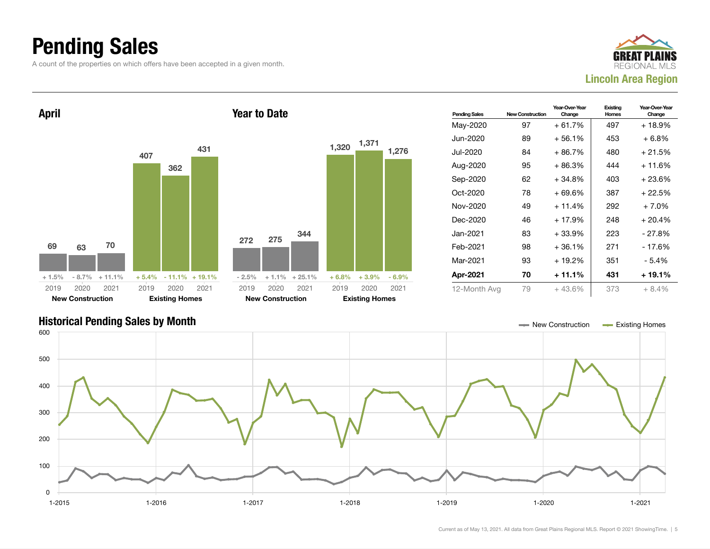### Pending Sales

A count of the properties on which offers have been accepted in a given month.





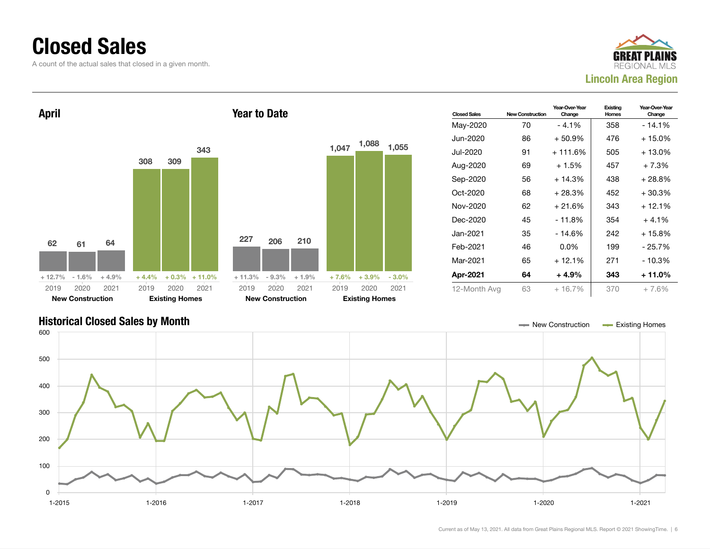### Closed Sales

A count of the actual sales that closed in a given month.





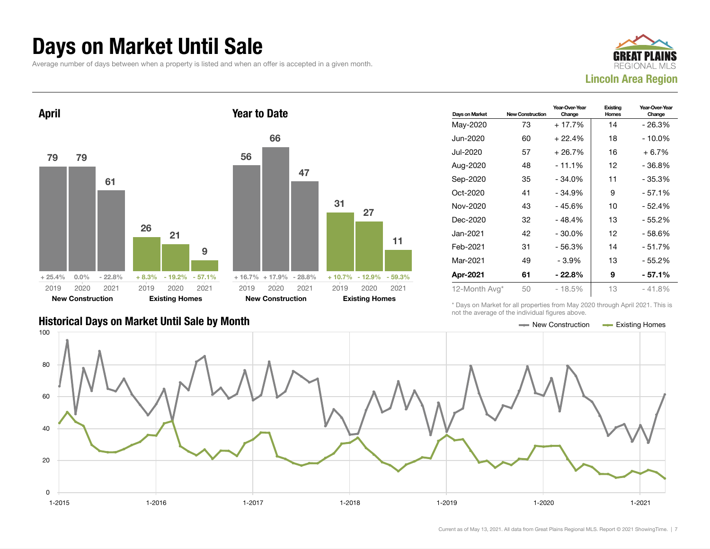### Days on Market Until Sale

Average number of days between when a property is listed and when an offer is accepted in a given month.





|                                               | TIOL LITO QVOIQQO OF LITO IHQIVIQQQI HQUIOJ QDOVO. |                       |
|-----------------------------------------------|----------------------------------------------------|-----------------------|
| Historical Days on Market Until Sale by Month | New Construction                                   | <b>Existing Homes</b> |

| Days on Market | <b>New Construction</b> | Year-Over-Year<br>Change | Existing<br><b>Homes</b> | Year-Over-Year<br>Change |
|----------------|-------------------------|--------------------------|--------------------------|--------------------------|
| May-2020       | 73                      | + 17.7%                  | 14                       | - 26.3%                  |
| Jun-2020       | 60                      | $+22.4%$                 | 18                       | $-10.0\%$                |
| Jul-2020       | 57                      | $+26.7%$                 | 16                       | $+6.7%$                  |
| Aug-2020       | 48                      | $-11.1%$                 | 12                       | - 36.8%                  |
| Sep-2020       | 35                      | $-34.0%$                 | 11                       | $-35.3%$                 |
| Oct-2020       | 41                      | $-34.9%$                 | 9                        | $-57.1%$                 |
| Nov-2020       | 43                      | - 45.6%                  | 10                       | - 52.4%                  |
| Dec-2020       | 32                      | $-48.4%$                 | 13                       | - 55.2%                  |
| Jan-2021       | 42                      | $-30.0\%$                | 12                       | $-58.6%$                 |
| Feb-2021       | 31                      | $-56.3%$                 | 14                       | $-51.7%$                 |
| Mar-2021       | 49                      | - 3.9%                   | 13                       | - 55.2%                  |
| Apr-2021       | 61                      | $-22.8%$                 | 9                        | - 57.1%                  |
| 12-Month Avg*  | 50                      | $-18.5%$                 | 13                       | $-41.8%$                 |

\* Days on Market for all properties from May 2020 through April 2021. This is not the average of the individual figures above.

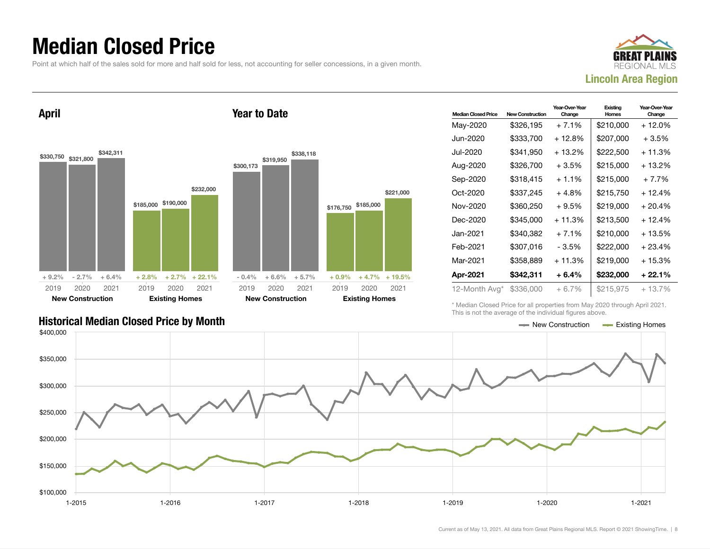### Median Closed Price

Point at which half of the sales sold for more and half sold for less, not accounting for seller concessions, in a given month.

Year to Date



April



| <b>Median Closed Price</b> | New Construction | Year-Over-Year<br>Change | Existing<br>Homes | Year-Over-Year<br>Change |
|----------------------------|------------------|--------------------------|-------------------|--------------------------|
| May-2020                   | \$326,195        | $+7.1%$                  | \$210,000         | + 12.0%                  |
| Jun-2020.                  | \$333,700        | + 12.8%                  | \$207,000         | $+3.5%$                  |
| Jul-2020.                  | \$341.950        | + 13.2%                  | \$222,500         | $+11.3%$                 |
| Aug-2020                   | \$326,700        | $+3.5%$                  | \$215,000         | + 13.2%                  |
| Sep-2020                   | \$318.415        | $+1.1\%$                 | \$215,000         | $+7.7%$                  |
| Oct-2020                   | \$337,245        | $+4.8%$                  | \$215,750         | $+12.4%$                 |
| Nov-2020                   | \$360.250        | $+9.5%$                  | \$219,000         | $+20.4%$                 |
| Dec-2020                   | \$345,000        | $+11.3%$                 | \$213,500         | $+12.4%$                 |
| Jan-2021.                  | \$340.382        | $+7.1%$                  | \$210,000         | $+13.5%$                 |
| Feb-2021                   | \$307.016        | - 3.5%                   | \$222,000         | $+23.4%$                 |
| Mar-2021                   | \$358,889        | $+11.3%$                 | \$219,000         | $+15.3%$                 |
| Apr-2021                   | \$342,311        | $+6.4%$                  | \$232,000         | $+22.1%$                 |
| 12-Month Avg*              | \$336,000        | $+6.7%$                  | \$215,975         | $+13.7%$                 |

\* Median Closed Price for all properties from May 2020 through April 2021. This is not the average of the individual figures above.



\$221,000

2020 2021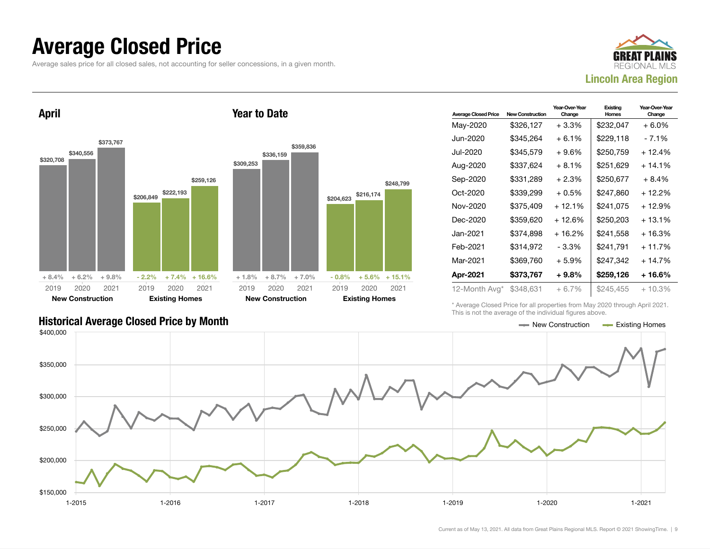### Average Closed Price

Average sales price for all closed sales, not accounting for seller concessions, in a given month.



April



Year to Date

| <b>Average Closed Price</b> | <b>New Construction</b> | Year-Over-Year<br>Change | Existing<br>Homes | Year-Over-Year<br>Change |
|-----------------------------|-------------------------|--------------------------|-------------------|--------------------------|
| May-2020                    | \$326,127               | $+3.3\%$                 | \$232,047         | + 6.0%                   |
| Jun-2020                    | \$345,264               | + 6.1%                   | \$229,118         | - 7.1%                   |
| Jul-2020                    | \$345,579               | + 9.6%                   | \$250,759         | $+12.4%$                 |
| Aug-2020                    | \$337,624               | + 8.1%                   | \$251,629         | $+14.1%$                 |
| Sep-2020                    | \$331,289               | + 2.3%                   | \$250,677         | $+8.4%$                  |
| $Oct-2020$                  | \$339,299               | $+0.5%$                  | \$247.860         | $+12.2%$                 |
| Nov-2020                    | \$375,409               | $+12.1%$                 | \$241,075         | $+12.9%$                 |
| Dec-2020                    | \$359,620               | + 12.6%                  | \$250,203         | $+13.1%$                 |
| Jan-2021                    | \$374.898               | $+16.2%$                 | \$241.558         | + 16.3%                  |
| Feb-2021                    | \$314,972               | - 3.3%                   | \$241,791         | $+11.7%$                 |
| Mar-2021                    | \$369,760               | + 5.9%                   | \$247,342         | $+14.7%$                 |
| Apr-2021                    | \$373,767               | + 9.8%                   | \$259,126         | + 16.6%                  |
| 12-Month Avg*               | \$348,631               | + 6.7%                   | \$245,455         | $+10.3%$                 |

\* Average Closed Price for all properties from May 2020 through April 2021. This is not the average of the individual figures above.

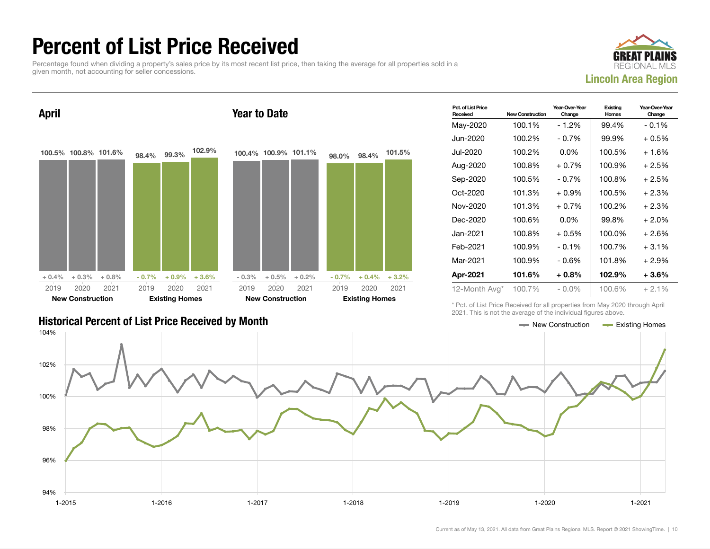### Percent of List Price Received

Percentage found when dividing a property's sales price by its most recent list price, then taking the average for all properties sold in a given month, not accounting for seller concessions.



April 100.5% 100.8% 101.6%  $+ 0.4\% + 0.3\% + 0.8\%$ 98.4% 99.3% 102.9%  $-0.7\%$   $+0.9\%$   $+3.6\%$ 2019 New Construction 2020 2021 2019 Existing Homes 2020 2021 Year to Date 100.4% 100.9% 101.1%  $-0.3\%$   $+0.5\%$   $+0.2\%$ 98.0% 98.4% 101.5%  $-0.7\%$   $+0.4\%$   $+3.2\%$ 2019 New Construction 2020 2021 2019 Existing Homes 2020 2021

| <b>Historical Percent of List Price Received by Month</b> |  | $\equiv$ New Construction $\equiv$ Existing Homes |  |
|-----------------------------------------------------------|--|---------------------------------------------------|--|

| Pct. of List Price<br>Received | <b>New Construction</b> | Year-Over-Year<br>Change | Existing<br><b>Homes</b> | Year-Over-Year<br>Change |
|--------------------------------|-------------------------|--------------------------|--------------------------|--------------------------|
| May-2020                       | 100.1%                  | $-1.2%$                  | 99.4%                    | $-0.1%$                  |
| Jun-2020                       | 100.2%                  | $-0.7\%$                 | 99.9%                    | $+0.5%$                  |
| Jul-2020                       | 100.2%                  | $0.0\%$                  | 100.5%                   | $+1.6%$                  |
| Aug-2020                       | 100.8%                  | $+0.7%$                  | 100.9%                   | $+2.5%$                  |
| Sep-2020                       | 100.5%                  | $-0.7\%$                 | 100.8%                   | $+2.5%$                  |
| $Oct-2020$                     | 101.3%                  | $+0.9%$                  | 100.5%                   | $+2.3%$                  |
| Nov-2020                       | 101.3%                  | $+0.7%$                  | 100.2%                   | $+2.3%$                  |
| Dec-2020                       | 100.6%                  | $0.0\%$                  | 99.8%                    | $+2.0%$                  |
| Jan-2021 <b>.</b>              | 100.8%                  | $+0.5%$                  | 100.0%                   | $+2.6%$                  |
| Feb-2021                       | 100.9%                  | $-0.1\%$                 | 100.7%                   | $+3.1%$                  |
| Mar-2021                       | 100.9%                  | - 0.6%                   | 101.8%                   | $+2.9%$                  |
| Apr-2021                       | 101.6%                  | $+0.8\%$                 | 102.9%                   | $+3.6%$                  |
| 12-Month Avg*                  | 100.7%                  | $-0.0\%$                 | 100.6%                   | $+2.1%$                  |

\* Pct. of List Price Received for all properties from May 2020 through April 2021. This is not the average of the individual figures above.

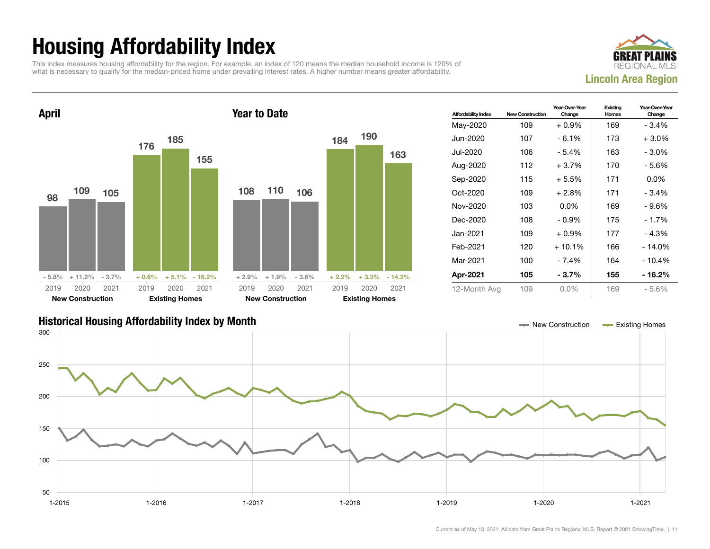## Housing Affordability Index

This index measures housing affordability for the region. For example, an index of 120 means the median household income is 120% of what is necessary to qualify for the median-priced home under prevailing interest rates. A higher number means greater affordability.





| <b>Affordability Index</b> | <b>New Construction</b> | Year-Over-Year<br>Change | Existing<br>Homes | Year-Over-Year<br>Change |
|----------------------------|-------------------------|--------------------------|-------------------|--------------------------|
| May-2020                   | 109                     | $+0.9\%$                 | 169               | $-3.4%$                  |
| Jun-2020                   | 107                     | $-6.1%$                  | 173               | $+3.0\%$                 |
| Jul-2020.                  | 106                     | - 5.4%                   | 163               | $-3.0\%$                 |
| Aug-2020                   | 112                     | $+3.7%$                  | 170               | - 5.6%                   |
| Sep-2020                   | 115                     | $+5.5%$                  | 171               | $0.0\%$                  |
| $Oct-2020$                 | 109                     | $+2.8\%$                 | 171               | $-3.4%$                  |
| Nov-2020                   | 103                     | $0.0\%$                  | 169               | - 9.6%                   |
| Dec-2020                   | 108                     | $-0.9%$                  | 175               | $-1.7%$                  |
| Jan-2021.                  | 109                     | $+0.9\%$                 | 177               | $-4.3%$                  |
| Feb-2021                   | 120                     | $+10.1%$                 | 166               | $-14.0%$                 |
| Mar-2021                   | 100                     | - 7.4%                   | 164               | $-10.4%$                 |
| Apr-2021                   | 105                     | $-3.7\%$                 | 155               | - 16.2%                  |
| 12-Month Avg               | 109                     | $0.0\%$                  | 169               | $-5.6%$                  |

### Historical Housing Affordability Index by Month New Construction Existing Homes

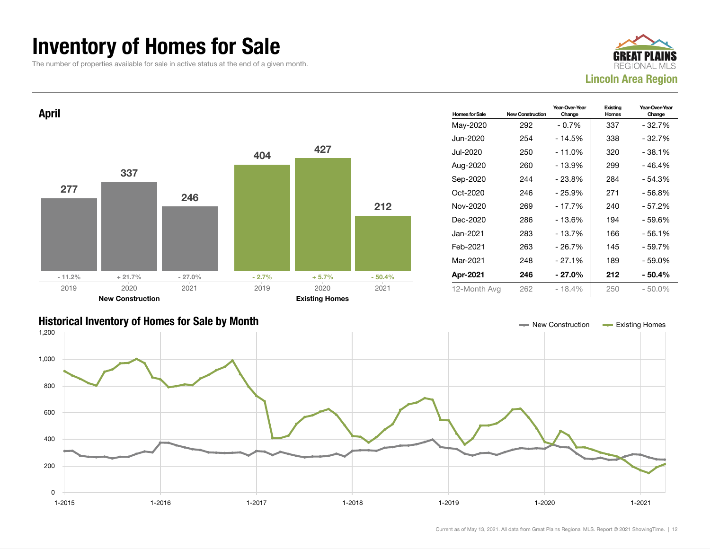### Inventory of Homes for Sale

The number of properties available for sale in active status at the end of a given month.





### Historical Inventory of Homes for Sale by Month New Construction Existing Homes

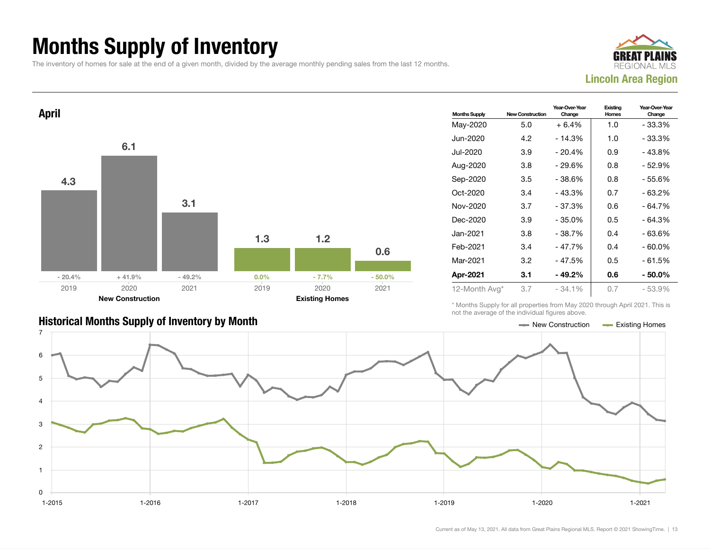## Months Supply of Inventory

The inventory of homes for sale at the end of a given month, divided by the average monthly pending sales from the last 12 months.





| <b>Historical Months Supply of Inventory by Month</b> | ← New Construction | <b>Existing Homes</b> |
|-------------------------------------------------------|--------------------|-----------------------|

| <b>Months Supply</b> | <b>New Construction</b> | Year-Over-Year<br>Change | Existing<br>Homes | Year-Over-Year<br>Change |  |
|----------------------|-------------------------|--------------------------|-------------------|--------------------------|--|
| May-2020             | 5.0                     | $+6.4%$                  | 1.0               | - 33.3%                  |  |
| Jun-2020             | 4.2                     | $-14.3%$                 | 1.0               | - 33.3%                  |  |
| Jul-2020             | 3.9                     | $-20.4%$                 | 0.9               | - 43.8%                  |  |
| Aug-2020             | 3.8                     | $-29.6%$                 | 0.8               | - 52.9%                  |  |
| Sep-2020             | 3.5                     | - 38.6%                  | 0.8               | - 55.6%                  |  |
| Oct-2020             | 3.4                     | $-43.3%$                 | 0.7               | - 63.2%                  |  |
| Nov-2020             | 3.7                     | $-37.3%$                 | 0.6               | - 64.7%                  |  |
| Dec-2020             | 3.9                     | $-35.0\%$                | 0.5               | - 64.3%                  |  |
| Jan-2021             | 3.8                     | $-38.7%$                 | 0.4               | - 63.6%                  |  |
| Feb-2021             | 3.4                     | $-47.7%$                 | 0.4               | - 60.0%                  |  |
| Mar-2021             | 3.2                     | - 47.5%                  | 0.5               | - 61.5%                  |  |
| Apr-2021             | 3.1                     | $-49.2\%$                | 0.6               | - 50.0%                  |  |
| 12-Month Avg*        | 3.7                     | $-34.1%$                 | 0.7               | - 53.9%                  |  |

\* Months Supply for all properties from May 2020 through April 2021. This is not the average of the individual figures above.